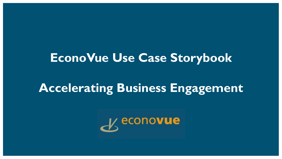### **EconoVue Use Case Storybook**

### **Accelerating Business Engagement**

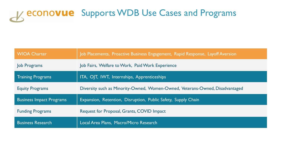# K econovue Supports WDB Use Cases and Programs

| <b>WIOA Charter</b>             | Job Placements, Proactive Business Engagement, Rapid Response, Layoff Aversion |
|---------------------------------|--------------------------------------------------------------------------------|
| Job Programs                    | Job Fairs, Welfare to Work, Paid Work Experience                               |
| <b>Training Programs</b>        | ITA, OJT, IWT, Internships, Apprenticeships                                    |
| <b>Equity Programs</b>          | Diversity such as Minority-Owned, Women-Owned, Veterans-Owned, Disadvantaged   |
| <b>Business Impact Programs</b> | Expansion, Retention, Disruption, Public Safety, Supply Chain                  |
| <b>Funding Programs</b>         | Request for Proposal, Grants, COVID Impact                                     |
| <b>Business Research</b>        | Local Area Plans, Macro/Micro Research                                         |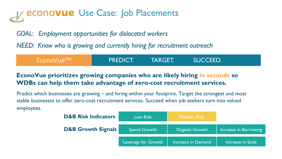# **econovue** Use Case: Job Placements

*GOAL: Employment opportunities for dislocated workers*

*NEED: Know who is growing and currently hiring for recruitment outreach* 

| EconoVue™ | <b>PREDICT!</b> | <b>TARGET.</b> | SUCCEED. |  |
|-----------|-----------------|----------------|----------|--|
|           |                 |                |          |  |

### **EconoVue prioritizes growing companies who are likely hiring in seconds so WDBs can help them take advantage of zero-cost recruitment services.**

Predict which businesses are growing – and hiring within your footprint. Target the strongest and most stable businesses to offer zero-cost recruitment services. Succeed when job seekers turn into valued employees.

| <b>D&amp;B Risk Indicators</b> | <b>Low Risk</b>     | Medium Risk           |                       |
|--------------------------------|---------------------|-----------------------|-----------------------|
| <b>D&amp;B Growth Signals</b>  | Spend Growth        | <b>Organic Growth</b> | Increase in Borrowing |
|                                | Leverage for Growth | Increase in Demand    | Increase in Scale     |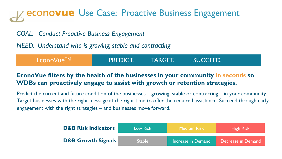# **econovue** Use Case: Proactive Business Engagement

### *GOAL: Conduct Proactive Business Engagement*

*NEED: Understand who is growing, stable and contracting*

| $\mathsf{\Gamma}$ EconoVue $\mathsf{\Gamma\mathsf{M}}$ . | <b>APREDICT.</b> | <b>TARGET.</b> | SUCCEED. |  |
|----------------------------------------------------------|------------------|----------------|----------|--|
|                                                          |                  |                |          |  |

### **EconoVue filters by the health of the businesses in your community in seconds so WDBs can proactively engage to assist with growth or retention strategies.**

Predict the current and future condition of the businesses – growing, stable or contracting – in your community. Target businesses with the right message at the right time to offer the required assistance. Succeed through early engagement with the right strategies – and businesses move forward.

| <b>D&amp;B Risk Indicators</b> | Low Risk      | Medium Risk I      | <b>High Risk</b>   |
|--------------------------------|---------------|--------------------|--------------------|
| <b>D&amp;B Growth Signals</b>  | <b>Stable</b> | Increase in Demand | Decrease in Demand |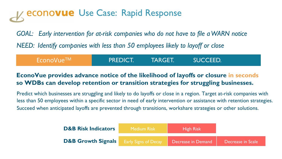### econo**vue** Use Case: Rapid Response

*GOAL: Early intervention for at-risk companies who do not have to file a WARN notice NEED: Identify companies with less than 50 employees likely to layoff or close*

| EconoVue™ | <b>PREDICT.</b> | TARGET. | <b>SUCCEED.</b> |  |
|-----------|-----------------|---------|-----------------|--|
|           |                 |         |                 |  |

### **EconoVue provides advance notice of the likelihood of layoffs or closure in seconds so WDBs can develop retention or transition strategies for struggling businesses.**

Predict which businesses are struggling and likely to do layoffs or close in a region. Target at-risk companies with less than 50 employees within a specific sector in need of early intervention or assistance with retention strategies. Succeed when anticipated layoffs are prevented through transitions, workshare strategies or other solutions.

| <b>D&amp;B Risk Indicators</b>                     | <b>Medium Risk</b> | <b>High Risk</b>   |                   |
|----------------------------------------------------|--------------------|--------------------|-------------------|
| <b>D&amp;B Growth Signals</b> Early Signs of Decay |                    | Decrease in Demand | Decrease in Scale |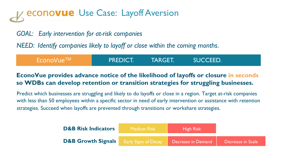# **econovue** Use Case: Layoff Aversion

*GOAL: Early intervention for at-risk companies*

*NEED: Identify companies likely to layoff or close within the coming months*.

| EconoVue <sup>TM</sup> | <b>PREDICT.</b> | TARGET. | SUCCEED. |  |
|------------------------|-----------------|---------|----------|--|
|                        |                 |         |          |  |

### **EconoVue provides advance notice of the likelihood of layoffs or closure in seconds so WDBs can develop retention or transition strategies for struggling businesses.**

Predict which businesses are struggling and likely to do layoffs or close in a region. Target at-risk companies with less than 50 employees within a specific sector in need of early intervention or assistance with retention strategies. Succeed when layoffs are prevented through transitions or workshare strategies.

| <b>D&amp;B Risk Indicators</b> | <b>Medium Risk</b>          | <b>High Risk</b>   |                   |
|--------------------------------|-----------------------------|--------------------|-------------------|
| <b>D&amp;B Growth Signals</b>  | <b>Early Signs of Decay</b> | Decrease in Demand | Decrease in Scale |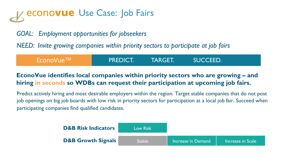# **econo<b>vue** Use Case: Job Fairs

### *GOAL: Employment opportunities for jobseekers*

*NEED: Invite growing companies within priority sectors to participate at job fairs*

| EconoVue™ | <b>APREDICT.</b> | <b>TARGET.</b> | <b>SUCCEED!</b> |  |
|-----------|------------------|----------------|-----------------|--|
|           |                  |                |                 |  |

### **EconoVue identifies local companies within priority sectors who are growing – and hiring in seconds so WDBs can request their participation at upcoming job fairs.**

Predict actively hiring and most desirable employers within the region. Target stable companies that do not post job openings on big job boards with low risk in priority sectors for participation at a local job fair. Succeed when participating companies find qualified candidates.

| <b>D&amp;B Risk Indicators</b> | <b>Low Risk</b> |                    |                   |
|--------------------------------|-----------------|--------------------|-------------------|
| <b>D&amp;B Growth Signals</b>  | 'Stable।        | Increase in Demand | Increase in Scale |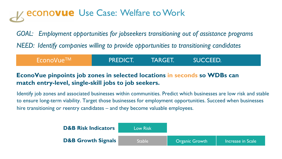# **econo<b>vue** Use Case: Welfare to Work

*GOAL: Employment opportunities for jobseekers transitioning out of assistance programs NEED: Identify companies willing to provide opportunities to transitioning candidates*

| EconoVue™ | <b>PREDICT!</b> | <b>TARGET.</b> | <b>SUCCEED.</b> |  |
|-----------|-----------------|----------------|-----------------|--|
|           |                 |                |                 |  |

### **EconoVue pinpoints job zones in selected locations in seconds so WDBs can match entry-level, single-skill jobs to job seekers.**

Identify job zones and associated businesses within communities. Predict which businesses are low risk and stable to ensure long-term viability. Target those businesses for employment opportunities. Succeed when businesses hire transitioning or reentry candidates – and they become valuable employees.

| <b>D&amp;B Risk Indicators</b> | <b>Low Risk</b> |                       |                    |
|--------------------------------|-----------------|-----------------------|--------------------|
| <b>D&amp;B Growth Signals</b>  | <b>Stable</b>   | <b>Organic Growth</b> | Increase in Scale' |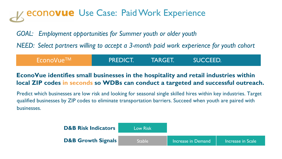# **econovue** Use Case: Paid Work Experience

*GOAL: Employment opportunities for Summer youth or older youth* 

*NEED: Select partners willing to accept a 3-month paid work experience for youth cohort* 

| <sup>l</sup> EconoVue™ I | <b>APREDICT.</b> | <b>TARGET.</b> | <b>SUCCEED.</b> |  |
|--------------------------|------------------|----------------|-----------------|--|
|--------------------------|------------------|----------------|-----------------|--|

### **EconoVue identifies small businesses in the hospitality and retail industries within local ZIP codes in seconds so WDBs can conduct a targeted and successful outreach.**

Predict which businesses are low risk and looking for seasonal single skilled hires within key industries. Target qualified businesses by ZIP codes to eliminate transportation barriers. Succeed when youth are paired with businesses.

| <b>D&amp;B Risk Indicators</b> | <b>Low Risk</b> |                    |                   |
|--------------------------------|-----------------|--------------------|-------------------|
| <b>D&amp;B Growth Signals</b>  | <b>Stable</b>   | Increase in Demand | Increase in Scale |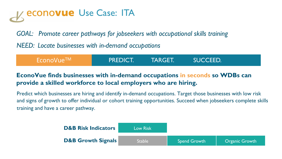# econo**vue** Use Case: ITA

*GOAL: Promote career pathways for jobseekers with occupational skills training*

*NEED: Locate businesses with in-demand occupations*

| EconoVue™ | <b>PREDICT.</b> | <b>TARGET.</b> | <b>SUCCEED.</b> |  |
|-----------|-----------------|----------------|-----------------|--|
|           |                 |                |                 |  |

### **EconoVue finds businesses with in-demand occupations in seconds so WDBs can provide a skilled workforce to local employers who are hiring.**

Predict which businesses are hiring and identify in-demand occupations. Target those businesses with low risk and signs of growth to offer individual or cohort training opportunities. Succeed when jobseekers complete skills training and have a career pathway.

| <b>D&amp;B Risk Indicators</b> | <b>Low Risk</b> |                     |                       |
|--------------------------------|-----------------|---------------------|-----------------------|
| <b>D&amp;B Growth Signals</b>  | <b>Stable</b>   | <b>Spend Growth</b> | <b>Organic Growth</b> |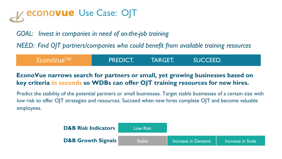# econovue Use Case: OJT

*GOAL: Invest in companies in need of on-the-job training* 

*NEED: Find OJT partners/companies who could benefit from available training resources*

| $\mathsf{Fconvune}^{\mathsf{TM}}$ . | <b>PREDICT.</b> | <b>TARGET.</b> | <b>SUCCEED.</b> |  |
|-------------------------------------|-----------------|----------------|-----------------|--|
|                                     |                 |                |                 |  |

### **EconoVue narrows search for partners or small, yet growing businesses based on key criteria in seconds so WDBs can offer OJT training resources for new hires.**

Predict the stability of the potential partners or small businesses. Target stable businesses of a certain size with low risk to offer OJT strategies and resources. Succeed when new hires complete OJT and become valuable employees.

| <b>D&amp;B Risk Indicators</b> | <b>Low Risk</b> |                    |                   |
|--------------------------------|-----------------|--------------------|-------------------|
| <b>D&amp;B Growth Signals</b>  | <b>Stable</b>   | Increase in Demand | Increase in Scale |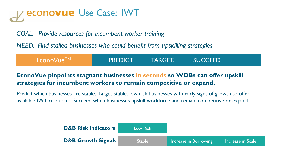# econo**vue** Use Case: IWT

*GOAL: Provide resources for incumbent worker training* 

*NEED: Find stalled businesses who could benefit from upskilling strategies*

| $\mathsf{I}$ EconoVue $^{\mathsf{TM}}$ . | <b>PREDICT.</b> | <b>TARGET.</b> | <b>SUCCEED.</b> |  |
|------------------------------------------|-----------------|----------------|-----------------|--|
|                                          |                 |                |                 |  |

### **EconoVue pinpoints stagnant businesses in seconds so WDBs can offer upskill strategies for incumbent workers to remain competitive or expand.**

Predict which businesses are stable. Target stable, low risk businesses with early signs of growth to offer available IWT resources. Succeed when businesses upskill workforce and remain competitive or expand.

| <b>D&amp;B Risk Indicators</b> | <b>Low Risk</b> |                       |                   |
|--------------------------------|-----------------|-----------------------|-------------------|
| <b>D&amp;B Growth Signals</b>  | <b>Stable</b>   | Increase in Borrowing | Increase in Scale |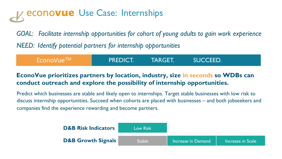## **econovue** Use Case: Internships

*GOAL: Facilitate internship opportunities for cohort of young adults to gain work experience*

*NEED: Identify potential partners for internship opportunities*

| $\sqrt{2}$ EconoVue $^{TM}$ / | <b>PREDICT.</b> | TARGET.' | SUCCEED. |  |
|-------------------------------|-----------------|----------|----------|--|
|                               |                 |          |          |  |

### **EconoVue prioritizes partners by location, industry, size in seconds so WDBs can conduct outreach and explore the possibility of internship opportunities.**

Predict which businesses are stable and likely open to internships. Target stable businesses with low risk to discuss internship opportunities. Succeed when cohorts are placed with businesses – and both jobseekers and companies find the experience rewarding and become partners.

| <b>D&amp;B Risk Indicators</b> | <b>Low Risk</b> |                    |                   |
|--------------------------------|-----------------|--------------------|-------------------|
| <b>D&amp;B Growth Signals</b>  | 'Stable         | Increase in Demand | Increase in Scale |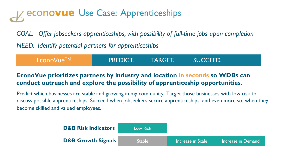# **econovue** Use Case: Apprenticeships

*GOAL: Offer jobseekers apprenticeships, with possibility of full-time jobs upon completion NEED: Identify potential partners for apprenticeships* 

| <sup>l</sup> EconoVue™⊥ | <b>PREDICT.</b> | <b>TARGET.</b> | <b>SUCCEED.</b> |  |
|-------------------------|-----------------|----------------|-----------------|--|
|                         |                 |                |                 |  |

### **EconoVue prioritizes partners by industry and location in seconds so WDBs can conduct outreach and explore the possibility of apprenticeship opportunities.**

Predict which businesses are stable and growing in my community. Target those businesses with low risk to discuss possible apprenticeships. Succeed when jobseekers secure apprenticeships, and even more so, when they become skilled and valued employees.

| <b>D&amp;B Risk Indicators</b> | <b>Low Risk</b> |                   |                    |
|--------------------------------|-----------------|-------------------|--------------------|
| <b>D&amp;B Growth Signals</b>  | <b>Stable</b>   | Increase in Scale | Increase in Demand |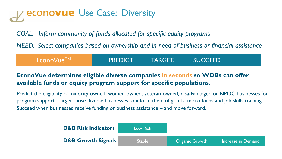# **econo<b>vue** Use Case: Diversity

*GOAL: Inform community of funds allocated for specific equity programs* 

*NEED: Select companies based on ownership and in need of business or financial assistance* 

| EconoVue™ | <b>PREDICT!</b> | <b>TARGET.</b> | SUCCEED. |  |
|-----------|-----------------|----------------|----------|--|
|           |                 |                |          |  |

### **EconoVue determines eligible diverse companies in seconds so WDBs can offer available funds or equity program support for specific populations.**

Predict the eligibility of minority-owned, women-owned, veteran-owned, disadvantaged or BIPOC businesses for program support. Target those diverse businesses to inform them of grants, micro-loans and job skills training. Succeed when businesses receive funding or business assistance – and move forward.

| <b>D&amp;B Risk Indicators</b> | <b>Low Risk</b> |                       |                    |
|--------------------------------|-----------------|-----------------------|--------------------|
| <b>D&amp;B Growth Signals</b>  | <b>Stable</b>   | <b>Organic Growth</b> | Increase in Demand |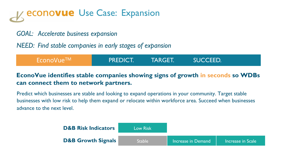# **econo<b>vue** Use Case: Expansion

### *GOAL: Accelerate business expansion*

*NEED: Find stable companies in early stages of expansion* 

| <b>PREDICT!</b> | <b>TARGET.</b> | <b>SUCCEED.</b> |  |
|-----------------|----------------|-----------------|--|
|                 |                |                 |  |

### **EconoVue identifies stable companies showing signs of growth in seconds so WDBs can connect them to network partners.**

Predict which businesses are stable and looking to expand operations in your community. Target stable businesses with low risk to help them expand or relocate within workforce area. Succeed when businesses advance to the next level.

| <b>D&amp;B Risk Indicators</b> | <b>Low Risk</b> |                    |                   |
|--------------------------------|-----------------|--------------------|-------------------|
| <b>D&amp;B Growth Signals</b>  | <b>Stable</b>   | Increase in Demand | Increase in Scale |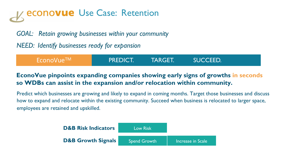# **econovue** Use Case: Retention

*GOAL: Retain growing businesses within your community*

*NEED: Identify businesses ready for expansion* 

| $E$ cono $V$ ue $^{TM}$ | <b>PREDICT!</b> | TARGET.' | SUCCEED. |  |
|-------------------------|-----------------|----------|----------|--|
|                         |                 |          |          |  |

### **EconoVue pinpoints expanding companies showing early signs of growths in seconds so WDBs can assist in the expansion and/or relocation within community.**

Predict which businesses are growing and likely to expand in coming months. Target those businesses and discuss how to expand and relocate within the existing community. Succeed when business is relocated to larger space, employees are retained and upskilled.

| <b>D&amp;B Risk Indicators</b> | <b>Low Risk</b>     |                   |
|--------------------------------|---------------------|-------------------|
| <b>D&amp;B Growth Signals</b>  | <b>Spend Growth</b> | Increase in Scale |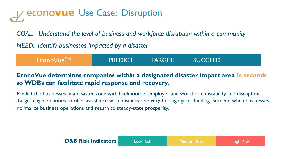# **econovue** Use Case: Disruption

*GOAL: Understand the level of business and workforce disruption within a community*

*NEED: Identify businesses impacted by a disaster*

| <b>TARGET.</b><br><b>PREDICT.</b><br>SUCCEED. |  |
|-----------------------------------------------|--|
|-----------------------------------------------|--|

### **EconoVue determines companies within a designated disaster impact area in seconds so WDBs can facilitate rapid response and recovery.**

Predict the businesses in a disaster zone with likelihood of employer and workforce instability and disruption. Target eligible entities to offer assistance with business recovery through grant funding. Succeed when businesses normalize business operations and return to steady-state prosperity.

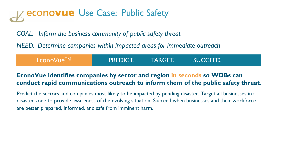# **econovue** Use Case: Public Safety

*GOAL: Inform the business community of public safety threat*

*NEED: Determine companies within impacted areas for immediate outreach*

| EconoVue™ | <b>PREDICT!</b> | <b>TARGET.</b> | <b>SUCCEED.</b> |
|-----------|-----------------|----------------|-----------------|
|           |                 |                |                 |

### **EconoVue identifies companies by sector and region in seconds so WDBs can conduct rapid communications outreach to inform them of the public safety threat.**

Predict the sectors and companies most likely to be impacted by pending disaster. Target all businesses in a disaster zone to provide awareness of the evolving situation. Succeed when businesses and their workforce are better prepared, informed, and safe from imminent harm.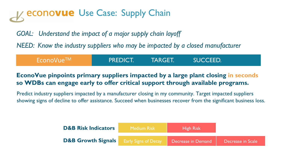### **econovue** Use Case: Supply Chain

*GOAL: Understand the impact of a major supply chain layoff*

*NEED: Know the industry suppliers who may be impacted by a closed manufacturer*

| EconoVue <sup>TM</sup> | <b>PREDICT.</b> | TARGET.' | SUCCEED. |  |
|------------------------|-----------------|----------|----------|--|
|                        |                 |          |          |  |

### **EconoVue pinpoints primary suppliers impacted by a large plant closing in seconds so WDBs can engage early to offer critical support through available programs.**

Predict industry suppliers impacted by a manufacturer closing in my community. Target impacted suppliers showing signs of decline to offer assistance. Succeed when businesses recover from the significant business loss.

| <b>D&amp;B Risk Indicators</b>                                        | Medium Risk | <b>High Risk</b> |                   |
|-----------------------------------------------------------------------|-------------|------------------|-------------------|
| <b>D&amp;B Growth Signals</b> Early Signs of Decay Decrease in Demand |             |                  | Decrease in Scale |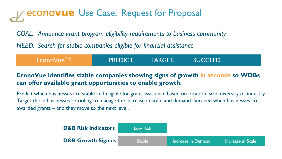# **econovue** Use Case: Request for Proposal

*GOAL: Announce grant program eligibility requirements to business community*

*NEED: Search for stable companies eligible for financial assistance* 

| $\mathsf{Fconvune}^{\mathsf{TM}}$ . | <b>PREDICT.</b> | <b>TARGET.</b> | <b>SUCCEED.</b> |  |
|-------------------------------------|-----------------|----------------|-----------------|--|
|                                     |                 |                |                 |  |

### **EconoVue identifies stable companies showing signs of growth in seconds so WDBs can offer available grant opportunities to enable growth.**

Predict which businesses are stable and eligible for grant assistance based on location, size, diversity or industry. Target those businesses retooling to manage the increase in scale and demand. Succeed when businesses are awarded grants – and they move to the next level.

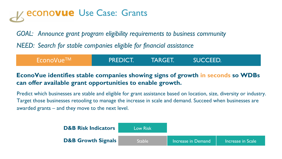# **econovue** Use Case: Grants

*GOAL: Announce grant program eligibility requirements to business community*

*NEED: Search for stable companies eligible for financial assistance* 

| EconoVue <sup>TM</sup> | <b>PREDICT.</b> | TARGET. | <b>SUCCEED.</b> |  |
|------------------------|-----------------|---------|-----------------|--|
|                        |                 |         |                 |  |

### **EconoVue identifies stable companies showing signs of growth in seconds so WDBs can offer available grant opportunities to enable growth.**

Predict which businesses are stable and eligible for grant assistance based on location, size, diversity or industry. Target those businesses retooling to manage the increase in scale and demand. Succeed when businesses are awarded grants – and they move to the next level.

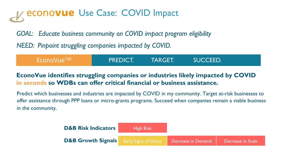# **econovue** Use Case: COVID Impact

*GOAL: Educate business community on COVID impact program eligibility* 

*NEED: Pinpoint struggling companies impacted by COVID.* 

| $\sqrt{2}$ EconoVue $^{TM}$ / | <b>PREDICT!</b> | <b>TARGET.</b> | SUCCEED. |  |
|-------------------------------|-----------------|----------------|----------|--|
|                               |                 |                |          |  |

### **EconoVue identifies struggling companies or industries likely impacted by COVID in seconds so WDBs can offer critical financial or business assistance.**

Predict which businesses and industries are impacted by COVID in my community. Target at-risk businesses to offer assistance through PPP loans or micro-grants programs. Succeed when companies remain a viable business in the community.

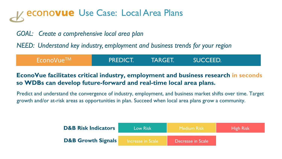# econovue Use Case: Local Area Plans

### *GOAL: Create a comprehensive local area plan*

*NEED: Understand key industry, employment and business trends for your region*

| EconoVue <sup>TM</sup> | <b>APREDICT.</b> | <b>TARGET.</b> | SUCCEED. |  |
|------------------------|------------------|----------------|----------|--|
|                        |                  |                |          |  |

### **EconoVue facilitates critical industry, employment and business research in seconds so WDBs can develop future-forward and real-time local area plans.**

Predict and understand the convergence of industry, employment, and business market shifts over time. Target growth and/or at-risk areas as opportunities in plan. Succeed when local area plans grow a community.

| <b>D&amp;B Risk Indicators</b> | Low Risk          | <b>Medium Risk</b> | <b>High Risk</b> |
|--------------------------------|-------------------|--------------------|------------------|
| <b>D&amp;B Growth Signals</b>  | Increase in Scale | Decrease in Scale  |                  |